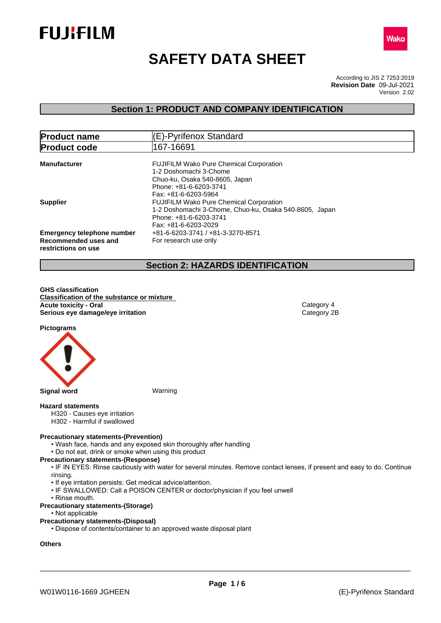



# **SAFETY DATA SHEET**

According to JIS Z 7253:2019 Version 2.02 **Revision Date** 09-Jul-2021

# **Section 1: PRODUCT AND COMPANY IDENTIFICATION**

| <b>Product name</b>                                                              | (E)-Pyrifenox Standard                                                                                                                                       |  |  |
|----------------------------------------------------------------------------------|--------------------------------------------------------------------------------------------------------------------------------------------------------------|--|--|
| 167-16691<br><b>Product code</b>                                                 |                                                                                                                                                              |  |  |
| <b>Manufacturer</b>                                                              | <b>FUJIFILM Wako Pure Chemical Corporation</b><br>1-2 Doshomachi 3-Chome<br>Chuo-ku, Osaka 540-8605, Japan<br>Phone: +81-6-6203-3741<br>Fax: +81-6-6203-5964 |  |  |
| <b>Supplier</b>                                                                  | <b>FUJIFILM Wako Pure Chemical Corporation</b><br>1-2 Doshomachi 3-Chome, Chuo-ku, Osaka 540-8605, Japan<br>Phone: +81-6-6203-3741<br>Fax: +81-6-6203-2029   |  |  |
| <b>Emergency telephone number</b><br>Recommended uses and<br>restrictions on use | +81-6-6203-3741 / +81-3-3270-8571<br>For research use only                                                                                                   |  |  |

# **Section 2: HAZARDS IDENTIFICATION**

**GHS classification Classification of the substance or mixture Acute toxicity - Oral Category 4**<br> **Serious eye damage/eye irritation**<br>
Category 2B **Serious** eye damage/eye irritation

**Pictograms**



#### **Hazard statements**

- H320 Causes eye irritation
- H302 Harmful if swallowed

#### **Precautionary statements-(Prevention)**

- Wash face, hands and any exposed skin thoroughly after handling
- Do not eat, drink or smoke when using this product

#### **Precautionary statements-(Response)**

• IF IN EYES: Rinse cautiously with water for several minutes. Remove contact lenses, if present and easy to do. Continue rinsing.

- If eye irritation persists: Get medical advice/attention.
- IF SWALLOWED: Call a POISON CENTER or doctor/physician if you feel unwell
- Rinse mouth.
- **Precautionary statements-(Storage)**
	- Not applicable

#### **Precautionary statements-(Disposal)**

• Dispose of contents/container to an approved waste disposal plant

# **Others**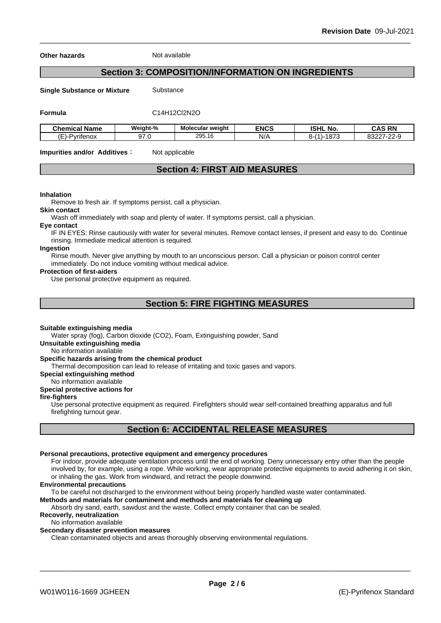**Other hazards** Not available

# **Section 3: COMPOSITION/INFORMATION ON INGREDIENTS**

**Single Substance or Mixture** Substance

**Formula** C14H12Cl2N2O

| <b>Chemical Name</b>         | Weight-%      | <b>Molecular weight</b> | <b>ENCS</b> | <b>ISHL No.</b>                                          | CAS RN<br>CAS<br>`N⊪                                         |
|------------------------------|---------------|-------------------------|-------------|----------------------------------------------------------|--------------------------------------------------------------|
| . .<br>-<br>′−<br>·Pvritenox | $\sim$<br>ں ، | 295.16                  | N/A         | 1070<br>$\overline{A}$<br>∼-⊧<br>$-1 - 1$<br><u>01 J</u> | $\sim$ 00 $\sim$<br>00007<br>. <i>.</i><br>اعےں<br><u>__</u> |

**Impurities and/or Additives**: Not applicable

# **Section 4: FIRST AID MEASURES**

#### **Inhalation**

Remove to fresh air. If symptoms persist, call a physician.

#### **Skin contact**

Wash off immediately with soap and plenty of water. If symptoms persist, calla physician.

#### **Eye contact**

IF IN EYES: Rinse cautiously with water for several minutes. Remove contact lenses, if present and easy to do. Continue rinsing. Immediate medical attention is required.

#### **Ingestion**

Rinse mouth. Never give anything by mouth to an unconscious person. Call a physician or poison control center immediately. Do not induce vomiting without medical advice.

#### **Protection of first-aiders**

Use personal protective equipment as required.

# **Section 5: FIRE FIGHTING MEASURES**

#### **Suitable extinguishing media**

Water spray (fog), Carbon dioxide (CO2), Foam, Extinguishing powder, Sand

**Unsuitable extinguishing media**

No information available

#### **Specific hazards arising from the chemical product**

Thermal decomposition can lead to release of irritating and toxic gases and vapors.

**Special extinguishing method**

No information available

### **Special protective actions for**

#### **fire-fighters**

Use personal protective equipment as required.Firefighters should wear self-contained breathing apparatus and full firefighting turnout gear.

# **Section 6: ACCIDENTAL RELEASE MEASURES**

#### **Personal precautions, protective equipment and emergency procedures**

For indoor, provide adequate ventilation process until the end of working. Deny unnecessary entry other than the people involved by, for example, using a rope. While working, wear appropriate protective equipments to avoid adhering it on skin, or inhaling the gas. Work from windward, and retract the people downwind.

#### **Environmental precautions**

To be careful not discharged to the environment without being properly handled waste water contaminated.

#### **Methods and materials for contaminent and methods and materials for cleaning up**

Absorb dry sand, earth, sawdust and the waste. Collect empty container that can be sealed.

#### **Recoverly, neutralization**

No information available

#### **Secondary disaster prevention measures**

Clean contaminated objects and areas thoroughly observing environmental regulations.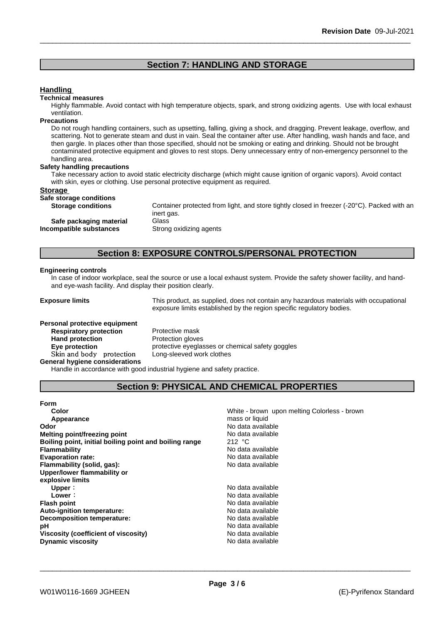# **Section 7: HANDLING AND STORAGE**

#### **Handling**

#### **Technical measures**

Highly flammable. Avoid contact with high temperature objects, spark, and strong oxidizing agents. Use with local exhaust ventilation.

#### **Precautions**

Do not rough handling containers, such as upsetting, falling, giving a shock, and dragging. Prevent leakage, overflow, and scattering. Not to generate steam and dust in vain. Seal the container after use. After handling, wash hands and face, and then gargle. In places other than those specified, should not be smoking or eating and drinking. Should not be brought contaminated protective equipment and gloves to rest stops. Deny unnecessary entry of non-emergency personnel to the handling area.

#### **Safety handling precautions**

Take necessary action to avoid static electricity discharge (which might cause ignition of organic vapors). Avoid contact with skin, eyes or clothing. Use personal protective equipment as required.

#### **Storage**

**Safe storage conditions**

Container protected from light, and store tightly closed in freezer (-20°C). Packed with an inert gas. **Safe packaging material** Glass<br>**ompatible substances** Strong oxidizing agents **Incompatible substances** 

# **Section 8: EXPOSURE CONTROLS/PERSONAL PROTECTION**

#### **Engineering controls**

In case of indoor workplace, seal the source or use a local exhaust system. Provide the safety shower facility, and handand eye-wash facility. And display their position clearly.

**Exposure limits** This product, as supplied, does not contain any hazardous materials with occupational exposure limits established by the region specific regulatory bodies.

melting Colorless - brown

# **Personal protective equipment Respiratory protection** Protective mask **Hand protection** Protection gloves **Skinandbody protection** Long-sleeved work clothes

**Eye protection protective eyeglasses or chemical safety goggles** 

**General hygiene considerations**

Handle in accordance with good industrial hygiene and safety practice.

# **Section 9: PHYSICAL AND CHEMICAL PROPERTIES**

| Form                                                   |                                          |
|--------------------------------------------------------|------------------------------------------|
| Color                                                  | White - brown upon melting Colorless - b |
| Appearance                                             | mass or liquid                           |
| Odor                                                   | No data available                        |
| Melting point/freezing point                           | No data available                        |
| Boiling point, initial boiling point and boiling range | 212 $\degree$ C                          |
| Flammability                                           | No data available                        |
| <b>Evaporation rate:</b>                               | No data available                        |
| Flammability (solid, gas):                             | No data available                        |
| Upper/lower flammability or                            |                                          |
| explosive limits                                       |                                          |
| Upper:                                                 | No data available                        |
| Lower:                                                 | No data available                        |
| Flash point                                            | No data available                        |
| Auto-ignition temperature:                             | No data available                        |
| <b>Decomposition temperature:</b>                      | No data available                        |
| рH                                                     | No data available                        |
| Viscosity (coefficient of viscosity)                   | No data available                        |
| <b>Dynamic viscosity</b>                               | No data available                        |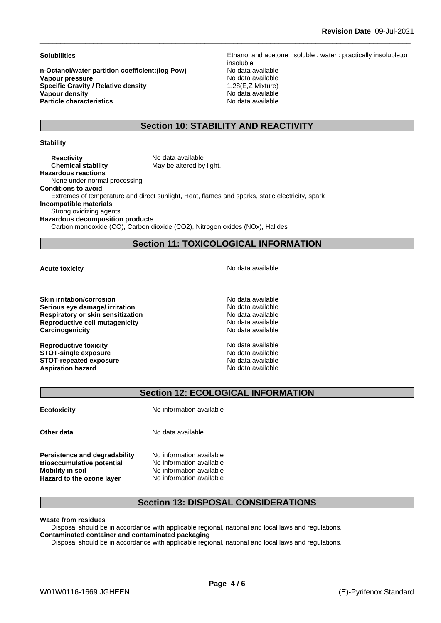**n-Octanol/water partition coefficient:(log Pow) No data available Vapour pressure**<br> **Specific Gravity / Relative density**<br> **Specific Gravity / Relative density**<br> **Specific Gravity / Relative density**<br> **Specific Gravity / Relative density Specific Gravity / Relative density<br>Vapour density Particle characteristics** No data available

**Solubilities** Ethanol and acetone : soluble . water : practically insoluble,or insoluble . **No data available** 

# **Section 10: STABILITY AND REACTIVITY**

#### **Stability**

**Reactivity** No data available **Chemical stability** May be altered by light. **Hazardous reactions** None under normal processing **Conditions to avoid** Extremes of temperature and direct sunlight, Heat, flames and sparks, static electricity, spark **Incompatible materials** Strong oxidizing agents **Hazardous decomposition products**

Carbon monooxide (CO), Carbon dioxide (CO2), Nitrogen oxides (NOx), Halides

# **Section 11: TOXICOLOGICAL INFORMATION**

**Skin irritation/corrosion** No data available **Serious eye damage/ irritation No data available No data available Respiratory or skin sensitization**<br> **Reproductive cell mutagenicity**<br> **Reproductive cell mutagenicity**<br> **No data available Reproductive cell mutagenicity Carcinogenicity Carcinogenicity Carcinogenicity No data available** 

**Reproductive toxicity** No data available **STOT-single exposure**  $\qquad \qquad \text{No data available}$ **STOT-repeated exposure**<br> **Aspiration hazard**<br> **Aspiration hazard**<br> **Aspiration hazard Aspiration hazard** 

**Acute toxicity Acute toxicity Acute has a structure in the structure of**  $\mathbb{R}^n$  **<b>No** data available

# **Section 12: ECOLOGICAL INFORMATION**

**Ecotoxicity** No information available

**Persistence and degradability** No information available **Bioaccumulative potential** No information available **Mobility** in soil No information available

**Other data** No data available

**Hazard to the ozone layer** No information available

# **Section 13: DISPOSAL CONSIDERATIONS**

**Waste from residues**

Disposal should be in accordance with applicable regional, national and local laws and regulations. **Contaminated container and contaminated packaging**

Disposal should be in accordance with applicable regional, national and local laws and regulations.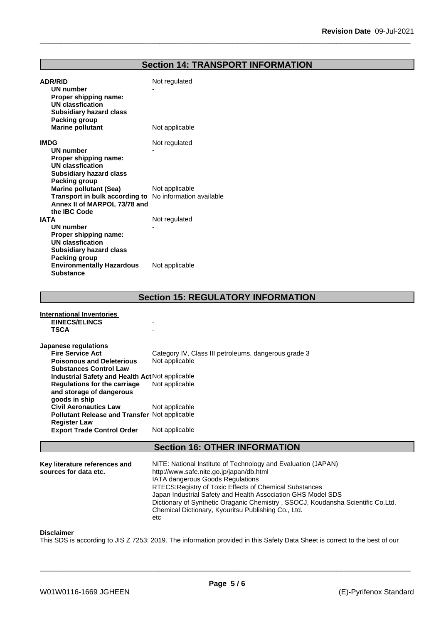## **Section 14: TRANSPORT INFORMATION**

| <b>ADR/RID</b><br>UN number<br>Proper shipping name:<br><b>UN classfication</b><br><b>Subsidiary hazard class</b>                        | Not regulated                               |
|------------------------------------------------------------------------------------------------------------------------------------------|---------------------------------------------|
| Packing group<br><b>Marine pollutant</b>                                                                                                 | Not applicable                              |
| <b>IMDG</b><br><b>UN number</b><br>Proper shipping name:<br><b>UN classfication</b><br><b>Subsidiary hazard class</b><br>Packing group   | Not regulated                               |
| <b>Marine pollutant (Sea)</b><br>Transport in bulk according to No information available<br>Annex II of MARPOL 73/78 and<br>the IBC Code | Not applicable                              |
| <b>IATA</b><br><b>UN number</b><br>Proper shipping name:<br><b>UN classfication</b><br><b>Subsidiary hazard class</b><br>Packing group   | Not regulated                               |
| <b>Environmentally Hazardous</b><br><b>Substance</b>                                                                                     | Not applicable                              |
|                                                                                                                                          | <b>Soction 15: DECIII ATODY INEODMATION</b> |

|                                                      | SECUON 13. REGULATURT INFORMATION                    |  |
|------------------------------------------------------|------------------------------------------------------|--|
| <b>International Inventories</b>                     |                                                      |  |
| <b>EINECS/ELINCS</b>                                 |                                                      |  |
| <b>TSCA</b>                                          |                                                      |  |
|                                                      |                                                      |  |
| <b>Japanese regulations</b>                          |                                                      |  |
| <b>Fire Service Act</b>                              | Category IV, Class III petroleums, dangerous grade 3 |  |
| <b>Poisonous and Deleterious</b>                     | Not applicable                                       |  |
| <b>Substances Control Law</b>                        |                                                      |  |
| Industrial Safety and Health Act Not applicable      |                                                      |  |
| Regulations for the carriage                         | Not applicable                                       |  |
| and storage of dangerous                             |                                                      |  |
| goods in ship                                        |                                                      |  |
| <b>Civil Aeronautics Law</b>                         | Not applicable                                       |  |
| <b>Pollutant Release and Transfer Not applicable</b> |                                                      |  |
| <b>Register Law</b>                                  |                                                      |  |
| <b>Export Trade Control Order</b>                    | Not applicable                                       |  |
|                                                      |                                                      |  |
| <b>Section 16: OTHER INFORMATION</b>                 |                                                      |  |

#### **Key literature references and NITE: National Institute of Technology and Evaluation (JAPAN)** http://www.safe.nite.go.jp/japan/db.html IATA dangerous Goods Regulations RTECS:Registry of Toxic Effects of Chemical Substances Japan Industrial Safety and Health Association GHS Model SDS Dictionary of Synthetic Oraganic Chemistry , SSOCJ, Koudansha Scientific Co.Ltd. Chemical Dictionary, Kyouritsu Publishing Co., Ltd. etc

#### **Disclaimer**

This SDS is according to JIS Z 7253: 2019. The information provided in this Safety Data Sheet is correct to the best of our